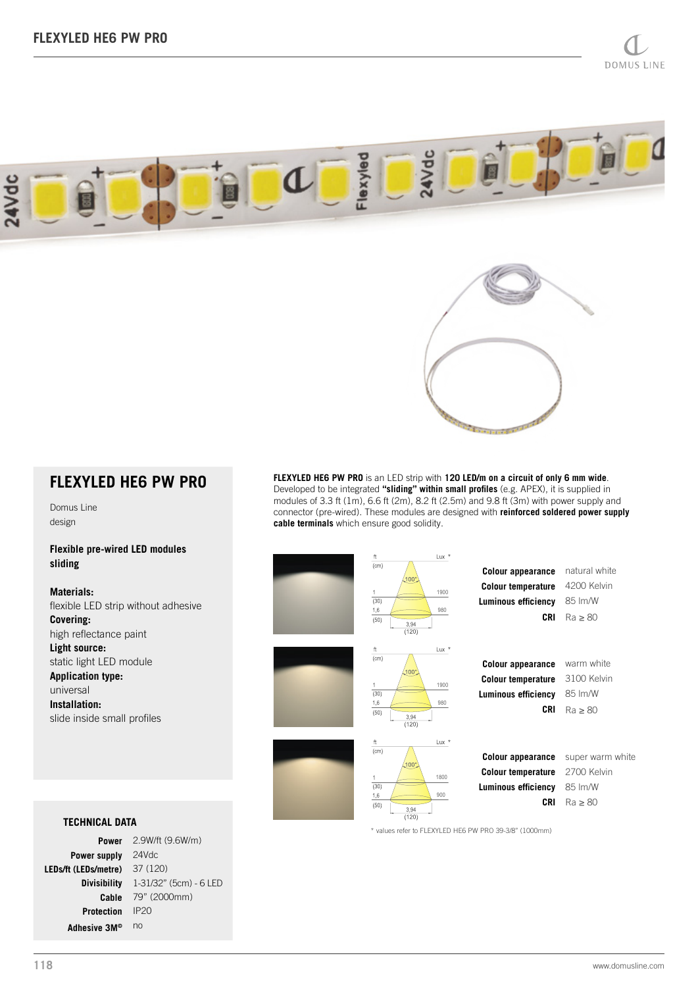



# **FLEXYLED HE6 PW PRO**

Domus Line design

#### **Flexible pre-wired LED modules sliding**

**Materials:** flexible LED strip without adhesive **Covering:** high reflectance paint **Light source:** static light LED module **Application type:** universal **Installation:** slide inside small profiles

## **TECHNICAL DATA**

2.9W/ft (9.6W/m) **Power** Power supply 24Vdc 37 (120) **LEDs/ft (LEDs/metre)** 1-31/32" (5cm) - 6 LED **Divisibility** 79" (2000mm) **Cable Protection** IP20 Adhesive 3M<sup>® no</sup>

**FLEXYLED HE6 PW PRO** is an LED strip with **120 LED/m on a circuit of only 6 mm wide**. Developed to be integrated **"sliding" within small profiles** (e.g. APEX), it is supplied in modules of 3.3 ft (1m), 6.6 ft (2m), 8.2 ft (2.5m) and 9.8 ft (3m) with power supply and connector (pre-wired). These modules are designed with **reinforced soldered power supply cable terminals** which ensure good solidity.

| ft<br>(cm)<br>$100^\circ$<br>$\mathbf{1}$<br>(30)<br>1,6<br>(50)<br>3,94<br>(120) | $Lux *$<br>1900<br>980 | <b>Colour appearance</b><br><b>Colour temperature</b><br><b>Luminous efficiency</b><br>CRI                                                           | natural white<br>4200 Kelvin<br>85 Im/W<br>$Ra \geq 80$    |
|-----------------------------------------------------------------------------------|------------------------|------------------------------------------------------------------------------------------------------------------------------------------------------|------------------------------------------------------------|
| ft<br>(cm)<br>$100^\circ$<br>1<br>(30)<br>1,6<br>(50)<br>3,94<br>(120)            | $Lux *$<br>1900<br>980 | <b>Colour appearance</b><br><b>Colour temperature</b><br><b>Luminous efficiency</b><br><b>CRI</b>                                                    | warm white<br>3100 Kelvin<br>85 lm/W<br>$Ra \geq 80$       |
| ft<br>(cm)<br>$100^\circ$<br>1<br>(30)<br>1,6<br>(50)<br>3,94<br>(120)            | $Lux *$<br>1800<br>900 | Colour appearance<br><b>Colour temperature</b><br><b>Luminous efficiency</b><br><b>CRI</b><br>* values refer to FLEXYLED HE6 PW PRO 39-3/8" (1000mm) | super warm white<br>2700 Kelvin<br>85 Im/W<br>$Ra \geq 80$ |